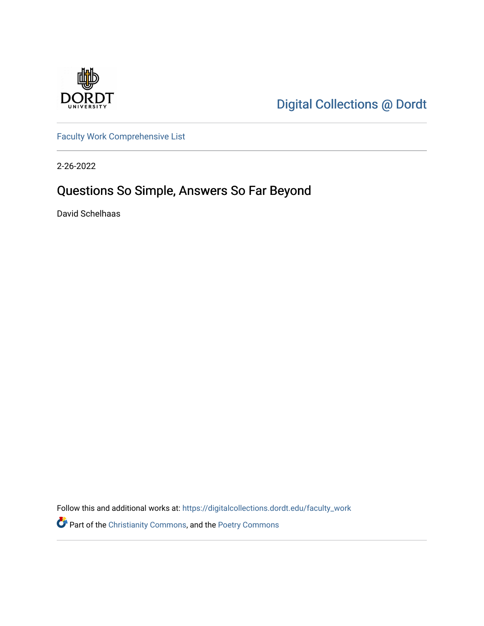

[Digital Collections @ Dordt](https://digitalcollections.dordt.edu/) 

[Faculty Work Comprehensive List](https://digitalcollections.dordt.edu/faculty_work)

2-26-2022

## Questions So Simple, Answers So Far Beyond

David Schelhaas

Follow this and additional works at: [https://digitalcollections.dordt.edu/faculty\\_work](https://digitalcollections.dordt.edu/faculty_work?utm_source=digitalcollections.dordt.edu%2Ffaculty_work%2F1376&utm_medium=PDF&utm_campaign=PDFCoverPages) 

Part of the [Christianity Commons,](http://network.bepress.com/hgg/discipline/1181?utm_source=digitalcollections.dordt.edu%2Ffaculty_work%2F1376&utm_medium=PDF&utm_campaign=PDFCoverPages) and the [Poetry Commons](http://network.bepress.com/hgg/discipline/1153?utm_source=digitalcollections.dordt.edu%2Ffaculty_work%2F1376&utm_medium=PDF&utm_campaign=PDFCoverPages)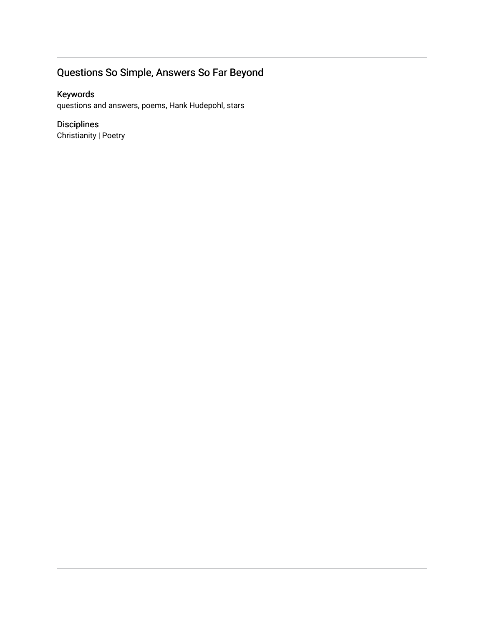### Questions So Simple, Answers So Far Beyond

#### Keywords

questions and answers, poems, Hank Hudepohl, stars

#### Disciplines

Christianity | Poetry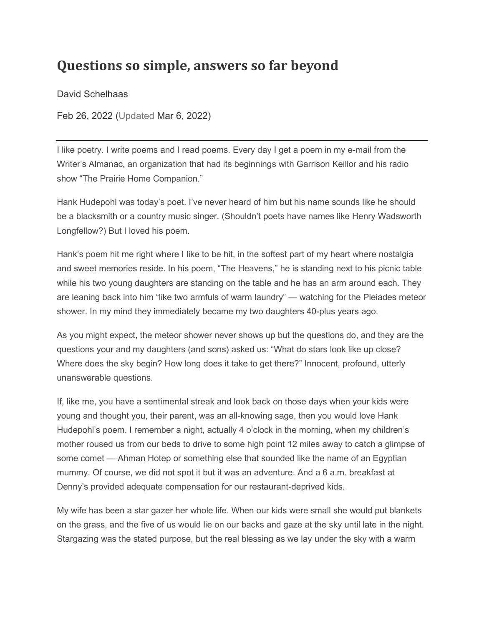# **Questions so simple, answers so far beyond**

David Schelhaas

Feb 26, 2022 (Updated Mar 6, 2022)

I like poetry. I write poems and I read poems. Every day I get a poem in my e-mail from the Writer's Almanac, an organization that had its beginnings with Garrison Keillor and his radio show "The Prairie Home Companion."

Hank Hudepohl was today's poet. I've never heard of him but his name sounds like he should be a blacksmith or a country music singer. (Shouldn't poets have names like Henry Wadsworth Longfellow?) But I loved his poem.

Hank's poem hit me right where I like to be hit, in the softest part of my heart where nostalgia and sweet memories reside. In his poem, "The Heavens," he is standing next to his picnic table while his two young daughters are standing on the table and he has an arm around each. They are leaning back into him "like two armfuls of warm laundry" — watching for the Pleiades meteor shower. In my mind they immediately became my two daughters 40-plus years ago.

As you might expect, the meteor shower never shows up but the questions do, and they are the questions your and my daughters (and sons) asked us: "What do stars look like up close? Where does the sky begin? How long does it take to get there?" Innocent, profound, utterly unanswerable questions.

If, like me, you have a sentimental streak and look back on those days when your kids were young and thought you, their parent, was an all-knowing sage, then you would love Hank Hudepohl's poem. I remember a night, actually 4 o'clock in the morning, when my children's mother roused us from our beds to drive to some high point 12 miles away to catch a glimpse of some comet — Ahman Hotep or something else that sounded like the name of an Egyptian mummy. Of course, we did not spot it but it was an adventure. And a 6 a.m. breakfast at Denny's provided adequate compensation for our restaurant-deprived kids.

My wife has been a star gazer her whole life. When our kids were small she would put blankets on the grass, and the five of us would lie on our backs and gaze at the sky until late in the night. Stargazing was the stated purpose, but the real blessing as we lay under the sky with a warm